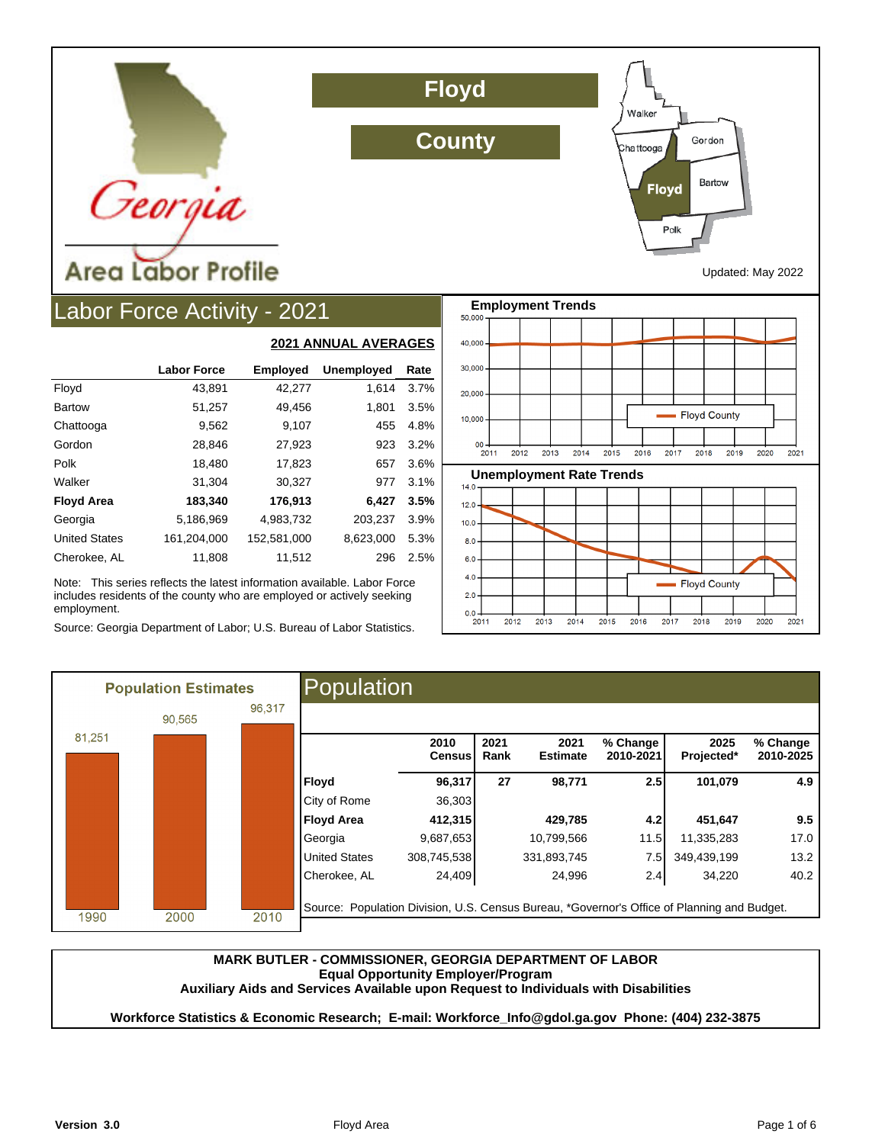

# Labor Force Activity - 2021

|                      |                    | <u>EVET MINIVAL AVLINAVLY</u> |                   |      |  |  |  |
|----------------------|--------------------|-------------------------------|-------------------|------|--|--|--|
|                      | <b>Labor Force</b> | <b>Employed</b>               | <b>Unemployed</b> | Rate |  |  |  |
| Floyd                | 43.891             | 42,277                        | 1.614             | 3.7% |  |  |  |
| <b>Bartow</b>        | 51,257             | 49,456                        | 1,801             | 3.5% |  |  |  |
| Chattooga            | 9,562              | 9,107                         | 455               | 4.8% |  |  |  |
| Gordon               | 28,846             | 27,923                        | 923               | 3.2% |  |  |  |
| Polk                 | 18,480             | 17,823                        | 657               | 3.6% |  |  |  |
| Walker               | 31,304             | 30,327                        | 977               | 3.1% |  |  |  |
| <b>Floyd Area</b>    | 183,340            | 176,913                       | 6,427             | 3.5% |  |  |  |
| Georgia              | 5,186,969          | 4,983,732                     | 203,237           | 3.9% |  |  |  |
| <b>United States</b> | 161,204,000        | 152,581,000                   | 8,623,000         | 5.3% |  |  |  |
| Cherokee, AL         | 11,808             | 11,512                        | 296               | 2.5% |  |  |  |

**2021 ANNUAL AVERAGES**

Note: This series reflects the latest information available. Labor Force includes residents of the county who are employed or actively seeking employment.

Source: Georgia Department of Labor; U.S. Bureau of Labor Statistics.



Walker

ha ttooga

**Floyd** 

Poll

Gordon

Bartow

|        | <b>Population Estimates</b> |        | Population                                                                                                  |                 |              |                         |                       |                    |                       |
|--------|-----------------------------|--------|-------------------------------------------------------------------------------------------------------------|-----------------|--------------|-------------------------|-----------------------|--------------------|-----------------------|
|        | 90,565                      | 96.317 |                                                                                                             |                 |              |                         |                       |                    |                       |
| 81,251 |                             |        |                                                                                                             | 2010<br>Censusl | 2021<br>Rank | 2021<br><b>Estimate</b> | % Change<br>2010-2021 | 2025<br>Projected* | % Change<br>2010-2025 |
|        |                             |        | Floyd                                                                                                       | 96,317          | 27           | 98,771                  | 2.5                   | 101,079            | 4.9                   |
|        |                             |        | City of Rome                                                                                                | 36,303          |              |                         |                       |                    |                       |
|        |                             |        | <b>Floyd Area</b>                                                                                           | 412,315         |              | 429,785                 | 4.2                   | 451,647            | 9.5                   |
|        |                             |        | Georgia                                                                                                     | 9,687,653       |              | 10,799,566              | 11.5                  | 11,335,283         | 17.0                  |
|        |                             |        | <b>United States</b>                                                                                        | 308,745,538     |              | 331,893,745             | 7.5                   | 349,439,199        | 13.2                  |
|        |                             |        | Cherokee, AL<br>Source: Population Division, U.S. Census Bureau, *Governor's Office of Planning and Budget. | 24,409          |              | 24,996                  | 2.4                   | 34,220             | 40.2                  |
| 1990   | 2000                        | 2010   |                                                                                                             |                 |              |                         |                       |                    |                       |

**County**

**Floyd**

#### **MARK BUTLER - COMMISSIONER, GEORGIA DEPARTMENT OF LABOR Equal Opportunity Employer/Program**

**Auxiliary Aids and Services Available upon Request to Individuals with Disabilities**

**Workforce Statistics & Economic Research; E-mail: Workforce\_Info@gdol.ga.gov Phone: (404) 232-3875**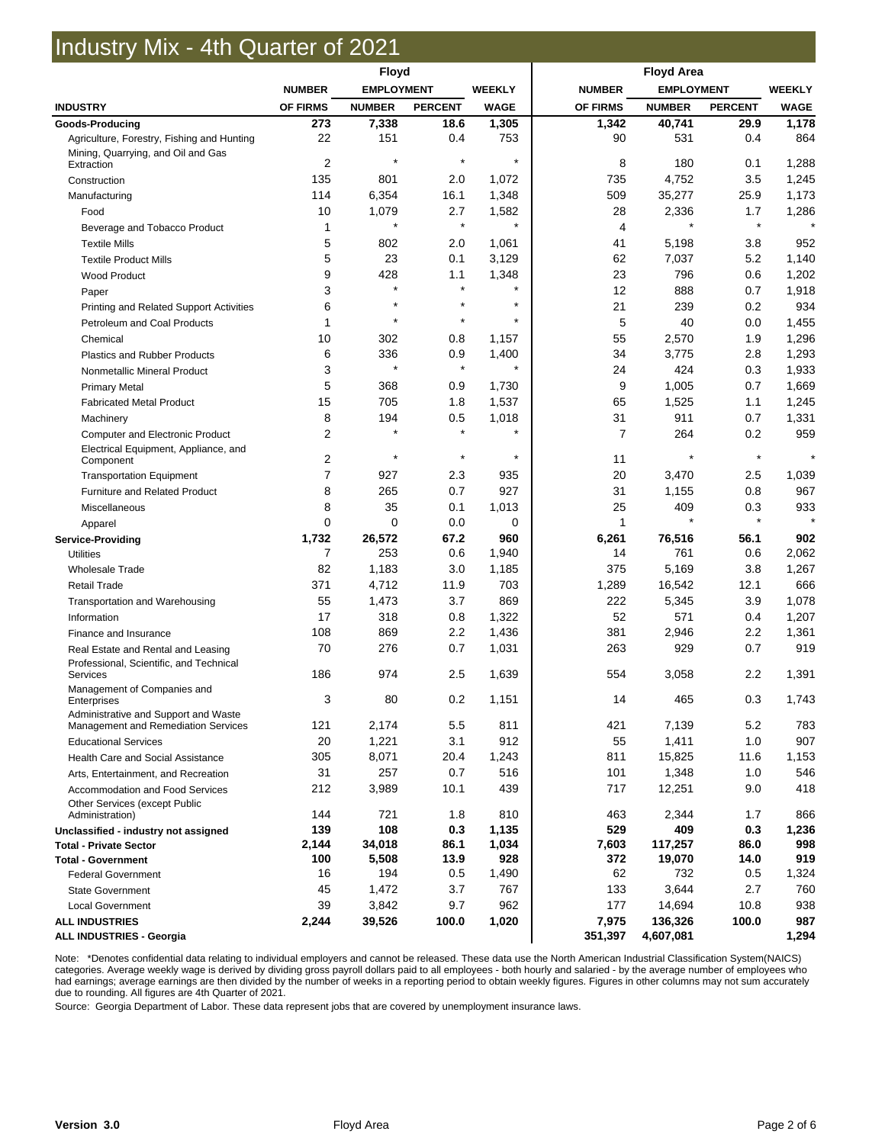# Industry Mix - 4th Quarter of 2021

|                                                                                | <b>Floyd</b>   |                   |                | <b>Floyd Area</b> |                 |                   |                |               |
|--------------------------------------------------------------------------------|----------------|-------------------|----------------|-------------------|-----------------|-------------------|----------------|---------------|
|                                                                                | <b>NUMBER</b>  | <b>EMPLOYMENT</b> |                | <b>WEEKLY</b>     | <b>NUMBER</b>   | <b>EMPLOYMENT</b> |                | <b>WEEKLY</b> |
| <b>INDUSTRY</b>                                                                | OF FIRMS       | <b>NUMBER</b>     | <b>PERCENT</b> | <b>WAGE</b>       | <b>OF FIRMS</b> | <b>NUMBER</b>     | <b>PERCENT</b> | <b>WAGE</b>   |
| Goods-Producing                                                                | 273            | 7,338             | 18.6           | 1,305             | 1,342           | 40,741            | 29.9           | 1,178         |
| Agriculture, Forestry, Fishing and Hunting                                     | 22             | 151               | 0.4            | 753               | 90              | 531               | 0.4            | 864           |
| Mining, Quarrying, and Oil and Gas<br>Extraction                               | $\overline{2}$ | $\star$           | $\star$        | $\star$           | 8               | 180               | 0.1            | 1,288         |
| Construction                                                                   | 135            | 801               | 2.0            | 1,072             | 735             | 4,752             | 3.5            | 1,245         |
| Manufacturing                                                                  | 114            | 6,354             | 16.1           | 1,348             | 509             | 35,277            | 25.9           | 1,173         |
| Food                                                                           | 10             | 1,079             | 2.7            | 1,582             | 28              | 2,336             | 1.7            | 1,286         |
| Beverage and Tobacco Product                                                   | 1              |                   | $\star$        | $\star$           | 4               |                   | $\star$        |               |
| <b>Textile Mills</b>                                                           | 5              | 802               | 2.0            | 1,061             | 41              | 5,198             | 3.8            | 952           |
| <b>Textile Product Mills</b>                                                   | 5              | 23                | 0.1            | 3,129             | 62              | 7,037             | 5.2            | 1,140         |
| <b>Wood Product</b>                                                            | 9              | 428               | 1.1            | 1,348             | 23              | 796               | 0.6            | 1,202         |
| Paper                                                                          | 3              | $\star$           | $\star$        | $\star$           | 12              | 888               | 0.7            | 1,918         |
| Printing and Related Support Activities                                        | 6              |                   | $\star$        | $\star$           | 21              | 239               | 0.2            | 934           |
| Petroleum and Coal Products                                                    | 1              | $\star$           | $\star$        | $\star$           | 5               | 40                | 0.0            | 1,455         |
| Chemical                                                                       | 10             | 302               | 0.8            | 1,157             | 55              | 2,570             | 1.9            | 1,296         |
| <b>Plastics and Rubber Products</b>                                            | 6              | 336               | 0.9            | 1,400             | 34              | 3,775             | 2.8            | 1,293         |
| Nonmetallic Mineral Product                                                    | 3              | $\star$           | $\star$        | $\star$           | 24              | 424               | 0.3            | 1,933         |
| <b>Primary Metal</b>                                                           | 5              | 368               | 0.9            | 1,730             | 9               | 1,005             | 0.7            | 1,669         |
| <b>Fabricated Metal Product</b>                                                | 15             | 705               | 1.8            | 1,537             | 65              | 1,525             | 1.1            | 1,245         |
|                                                                                | 8              | 194               | 0.5            | 1,018             | 31              | 911               | 0.7            | 1,331         |
| Machinery                                                                      | $\overline{2}$ | $\star$           | $\star$        | $\star$           | 7               | 264               | 0.2            | 959           |
| <b>Computer and Electronic Product</b><br>Electrical Equipment, Appliance, and |                |                   |                |                   |                 |                   |                |               |
| Component                                                                      | $\overline{2}$ | $\star$           | $\star$        | $\star$           | 11              |                   | $\star$        |               |
| <b>Transportation Equipment</b>                                                | 7              | 927               | 2.3            | 935               | 20              | 3,470             | 2.5            | 1,039         |
| Furniture and Related Product                                                  | 8              | 265               | 0.7            | 927               | 31              | 1,155             | 0.8            | 967           |
| Miscellaneous                                                                  | 8              | 35                | 0.1            | 1,013             | 25              | 409               | 0.3            | 933           |
| Apparel                                                                        | 0              | $\mathbf 0$       | 0.0            | 0                 | 1               |                   | $\star$        |               |
| <b>Service-Providing</b>                                                       | 1,732          | 26,572            | 67.2           | 960               | 6,261           | 76,516            | 56.1           | 902           |
| <b>Utilities</b>                                                               | 7              | 253               | 0.6            | 1,940             | 14              | 761               | 0.6            | 2,062         |
| <b>Wholesale Trade</b>                                                         | 82             | 1,183             | 3.0            | 1,185             | 375             | 5,169             | 3.8            | 1,267         |
| <b>Retail Trade</b>                                                            | 371            | 4,712             | 11.9           | 703               | 1,289           | 16,542            | 12.1           | 666           |
| Transportation and Warehousing                                                 | 55             | 1,473             | 3.7            | 869               | 222             | 5,345             | 3.9            | 1,078         |
| Information                                                                    | 17             | 318               | 0.8            | 1,322             | 52              | 571               | 0.4            | 1,207         |
| Finance and Insurance                                                          | 108            | 869               | 2.2            | 1,436             | 381             | 2,946             | 2.2            | 1,361         |
| Real Estate and Rental and Leasing                                             | 70             | 276               | 0.7            | 1,031             | 263             | 929               | 0.7            | 919           |
| Professional, Scientific, and Technical<br>Services                            | 186            | 974               | 2.5            | 1,639             | 554             | 3,058             | 2.2            | 1,391         |
| Management of Companies and<br>Enterprises                                     | 3              | 80                | 0.2            | 1,151             | 14              | 465               | 0.3            | 1,743         |
| Administrative and Support and Waste<br>Management and Remediation Services    | 121            | 2,174             | 5.5            | 811               | 421             | 7,139             | 5.2            | 783           |
| <b>Educational Services</b>                                                    | 20             | 1,221             | 3.1            | 912               | 55              | 1,411             | 1.0            | 907           |
| Health Care and Social Assistance                                              | 305            | 8,071             | 20.4           | 1,243             | 811             | 15,825            | 11.6           | 1,153         |
| Arts, Entertainment, and Recreation                                            | 31             | 257               | 0.7            | 516               | 101             | 1,348             | 1.0            | 546           |
| Accommodation and Food Services                                                | 212            | 3,989             | 10.1           | 439               | 717             | 12,251            | 9.0            | 418           |
| <b>Other Services (except Public</b><br>Administration)                        | 144            | 721               | 1.8            | 810               | 463             | 2,344             | 1.7            | 866           |
| Unclassified - industry not assigned                                           | 139            | 108               | 0.3            | 1,135             | 529             | 409               | 0.3            | 1,236         |
| <b>Total - Private Sector</b>                                                  | 2,144          | 34,018            | 86.1           | 1,034             | 7,603           | 117,257           | 86.0           | 998           |
| <b>Total - Government</b>                                                      | 100            | 5,508             | 13.9           | 928               | 372             | 19,070            | 14.0           | 919           |
| <b>Federal Government</b>                                                      | 16             | 194               | 0.5            | 1,490             | 62              | 732               | 0.5            | 1,324         |
| <b>State Government</b>                                                        | 45             | 1,472             | 3.7            | 767               | 133             | 3,644             | 2.7            | 760           |
| <b>Local Government</b>                                                        | 39             | 3,842             | 9.7            | 962               | 177             | 14,694            | 10.8           | 938           |
| <b>ALL INDUSTRIES</b>                                                          | 2,244          | 39,526            | 100.0          | 1,020             | 7,975           | 136,326           | 100.0          | 987           |
| <b>ALL INDUSTRIES - Georgia</b>                                                |                |                   |                |                   | 351,397         | 4,607,081         |                | 1,294         |

Note: \*Denotes confidential data relating to individual employers and cannot be released. These data use the North American Industrial Classification System(NAICS) categories. Average weekly wage is derived by dividing gross payroll dollars paid to all employees - both hourly and salaried - by the average number of employees who<br>had earnings; average earnings are then divided by the due to rounding. All figures are 4th Quarter of 2021.

Source: Georgia Department of Labor. These data represent jobs that are covered by unemployment insurance laws.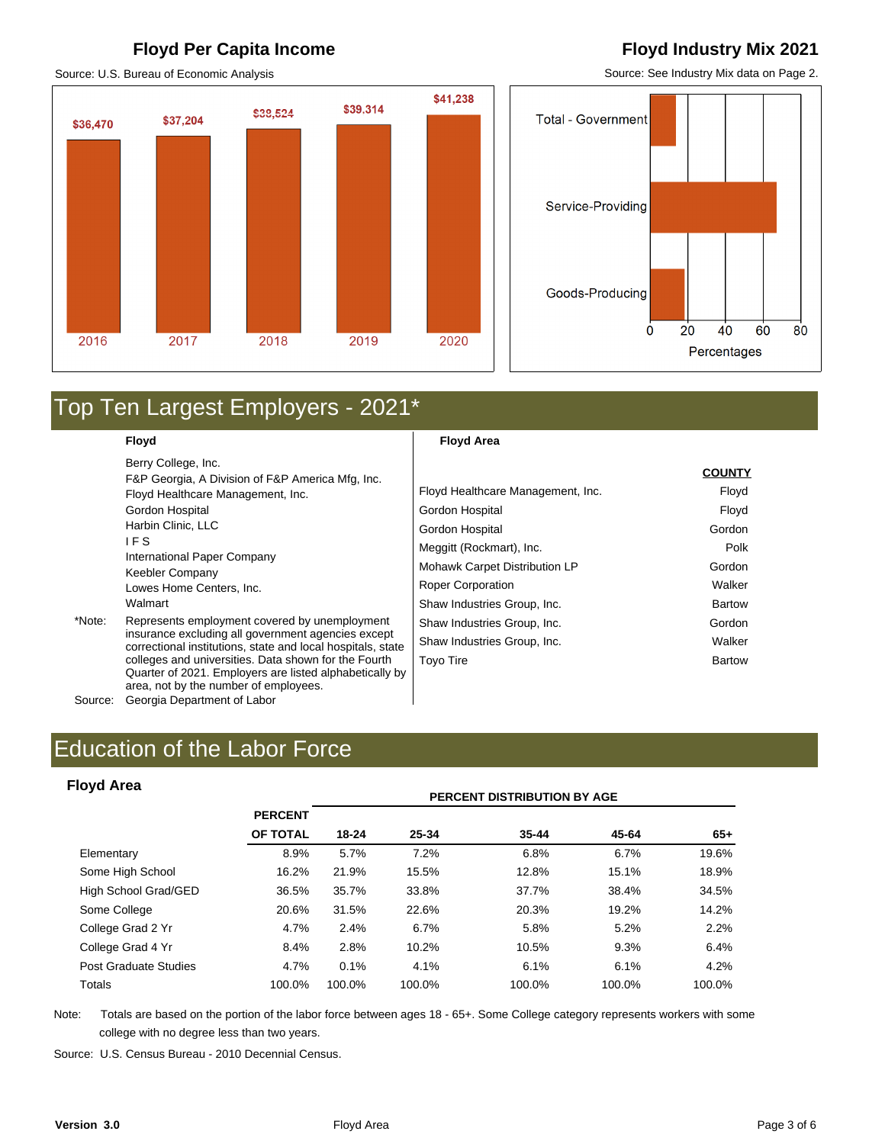#### **Floyd Per Capita Income Floyd Industry Mix 2021**

Source: U.S. Bureau of Economic Analysis

### \$41,238 \$39,314 \$38,524 \$37,204 \$36,470 2016 2017 2018 2019 2020

Source: See Industry Mix data on Page 2.



# Top Ten Largest Employers - 2021\*

**Floyd** 

**Floyd Area** 

|         | Berry College, Inc.                                                                                                                                      |                                   | <b>COUNTY</b> |
|---------|----------------------------------------------------------------------------------------------------------------------------------------------------------|-----------------------------------|---------------|
|         | F&P Georgia, A Division of F&P America Mfg, Inc.                                                                                                         |                                   |               |
|         | Floyd Healthcare Management, Inc.                                                                                                                        | Floyd Healthcare Management, Inc. | Floyd         |
|         | Gordon Hospital                                                                                                                                          | Gordon Hospital                   | Floyd         |
|         | Harbin Clinic, LLC                                                                                                                                       | Gordon Hospital                   | Gordon        |
|         | IF S                                                                                                                                                     | Meggitt (Rockmart), Inc.          | Polk          |
|         | International Paper Company<br>Keebler Company                                                                                                           | Mohawk Carpet Distribution LP     | Gordon        |
|         | Lowes Home Centers, Inc.                                                                                                                                 | <b>Roper Corporation</b>          | Walker        |
|         | Walmart                                                                                                                                                  | Shaw Industries Group, Inc.       | <b>Bartow</b> |
| *Note:  | Represents employment covered by unemployment                                                                                                            | Shaw Industries Group, Inc.       | Gordon        |
|         | insurance excluding all government agencies except<br>correctional institutions, state and local hospitals, state                                        | Shaw Industries Group, Inc.       | Walker        |
|         | colleges and universities. Data shown for the Fourth<br>Quarter of 2021. Employers are listed alphabetically by<br>area, not by the number of employees. | <b>Toyo Tire</b>                  | <b>Bartow</b> |
| Source: | Georgia Department of Labor                                                                                                                              |                                   |               |

Source: Georgia Department of Labor

# Education of the Labor Force<br>**PERCENT DISTRIBUTION BY AGE**<br>PERCENT DISTRIBUTION BY AGE

#### **Floyd Area**

|                       |                | <b>PERCENT DISTRIBUTION BY AGE</b> |        |           |        |        |  |  |
|-----------------------|----------------|------------------------------------|--------|-----------|--------|--------|--|--|
|                       | <b>PERCENT</b> |                                    |        |           |        |        |  |  |
|                       | OF TOTAL       | 18-24                              | 25-34  | $35 - 44$ | 45-64  | $65+$  |  |  |
| Elementary            | 8.9%           | 5.7%                               | 7.2%   | 6.8%      | 6.7%   | 19.6%  |  |  |
| Some High School      | 16.2%          | 21.9%                              | 15.5%  | 12.8%     | 15.1%  | 18.9%  |  |  |
| High School Grad/GED  | 36.5%          | 35.7%                              | 33.8%  | 37.7%     | 38.4%  | 34.5%  |  |  |
| Some College          | 20.6%          | 31.5%                              | 22.6%  | 20.3%     | 19.2%  | 14.2%  |  |  |
| College Grad 2 Yr     | 4.7%           | 2.4%                               | 6.7%   | 5.8%      | 5.2%   | 2.2%   |  |  |
| College Grad 4 Yr     | 8.4%           | 2.8%                               | 10.2%  | 10.5%     | 9.3%   | 6.4%   |  |  |
| Post Graduate Studies | 4.7%           | 0.1%                               | 4.1%   | 6.1%      | 6.1%   | 4.2%   |  |  |
| Totals                | 100.0%         | 100.0%                             | 100.0% | 100.0%    | 100.0% | 100.0% |  |  |

Note: Totals are based on the portion of the labor force between ages 18 - 65+. Some College category represents workers with some college with no degree less than two years.

Source: U.S. Census Bureau - 2010 Decennial Census.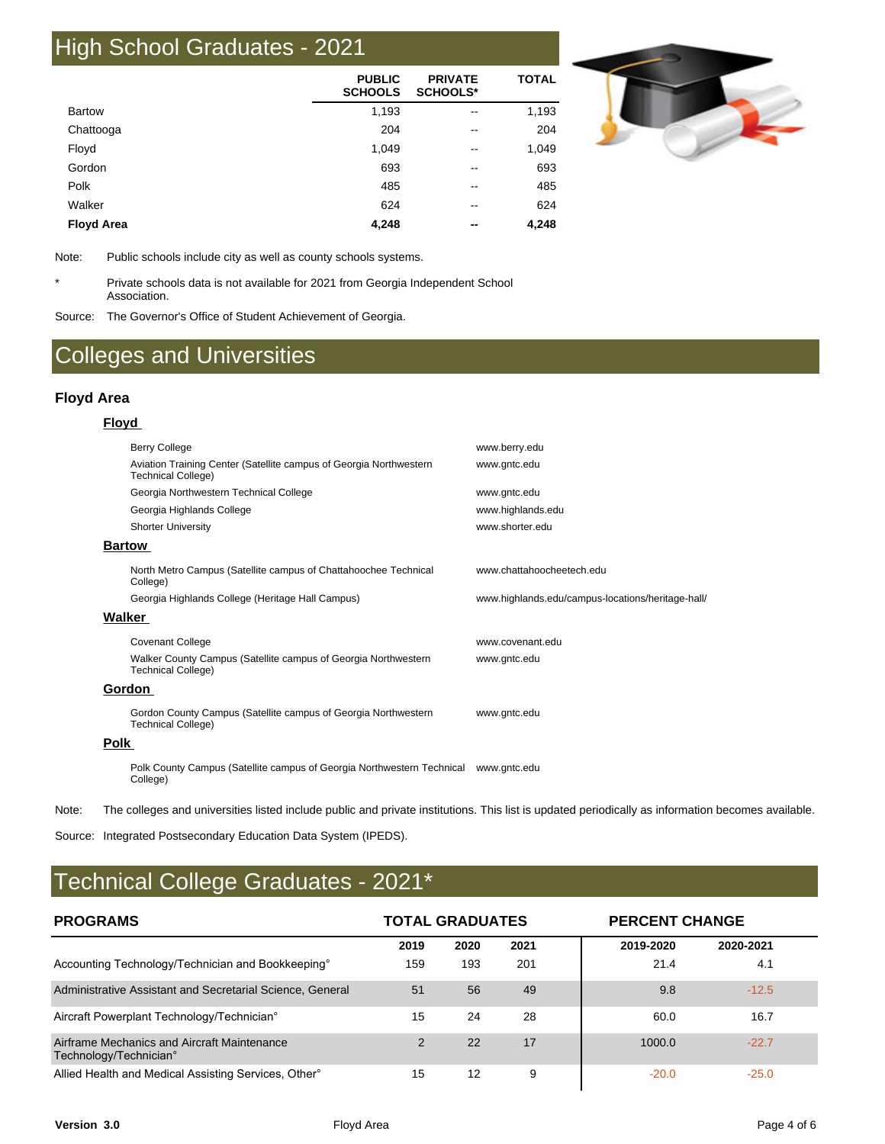# High School Graduates - 2021

|                   | <b>PUBLIC</b><br><b>SCHOOLS</b> | <b>PRIVATE</b><br><b>SCHOOLS*</b> | <b>TOTAL</b> |
|-------------------|---------------------------------|-----------------------------------|--------------|
| <b>Bartow</b>     | 1,193                           | $\overline{\phantom{m}}$          | 1,193        |
| Chattooga         | 204                             | $\overline{\phantom{m}}$          | 204          |
| Floyd             | 1,049                           | $\overline{\phantom{m}}$          | 1,049        |
| Gordon            | 693                             | $\overline{\phantom{m}}$          | 693          |
| Polk              | 485                             | --                                | 485          |
| Walker            | 624                             | --                                | 624          |
| <b>Floyd Area</b> | 4,248                           | $- -$                             | 4,248        |



Note: Public schools include city as well as county schools systems.

\* Private schools data is not available for 2021 from Georgia Independent School Association.

Source: The Governor's Office of Student Achievement of Georgia.

## Colleges and Universities

#### **Floyd Area**

#### **Floyd**

|      | <b>Berry College</b>                                                                            | www.berry.edu                                     |
|------|-------------------------------------------------------------------------------------------------|---------------------------------------------------|
|      | Aviation Training Center (Satellite campus of Georgia Northwestern<br><b>Technical College)</b> | www.gntc.edu                                      |
|      | Georgia Northwestern Technical College                                                          | www.gntc.edu                                      |
|      | Georgia Highlands College                                                                       | www.highlands.edu                                 |
|      | <b>Shorter University</b>                                                                       | www.shorter.edu                                   |
|      | <b>Bartow</b>                                                                                   |                                                   |
|      | North Metro Campus (Satellite campus of Chattahoochee Technical<br>College)                     | www.chattahoocheetech.edu                         |
|      | Georgia Highlands College (Heritage Hall Campus)                                                | www.highlands.edu/campus-locations/heritage-hall/ |
|      | Walker                                                                                          |                                                   |
|      | <b>Covenant College</b>                                                                         | www.covenant.edu                                  |
|      | Walker County Campus (Satellite campus of Georgia Northwestern<br><b>Technical College)</b>     | www.gntc.edu                                      |
|      | Gordon                                                                                          |                                                   |
|      | Gordon County Campus (Satellite campus of Georgia Northwestern<br><b>Technical College)</b>     | www.gntc.edu                                      |
| Polk |                                                                                                 |                                                   |
|      | Polk County Campus (Satellite campus of Georgia Northwestern Technical www.gntc.edu<br>College) |                                                   |

Note: The colleges and universities listed include public and private institutions. This list is updated periodically as information becomes available.

Source: Integrated Postsecondary Education Data System (IPEDS).

# Technical College Graduates - 2021\*

| <b>PROGRAMS</b>                                                       | <b>TOTAL GRADUATES</b><br><b>PERCENT CHANGE</b> |      |      |           |           |
|-----------------------------------------------------------------------|-------------------------------------------------|------|------|-----------|-----------|
|                                                                       | 2019                                            | 2020 | 2021 | 2019-2020 | 2020-2021 |
| Accounting Technology/Technician and Bookkeeping°                     | 159                                             | 193  | 201  | 21.4      | 4.1       |
| Administrative Assistant and Secretarial Science, General             | 51                                              | 56   | 49   | 9.8       | $-12.5$   |
| Aircraft Powerplant Technology/Technician <sup>°</sup>                | 15                                              | 24   | 28   | 60.0      | 16.7      |
| Airframe Mechanics and Aircraft Maintenance<br>Technology/Technician° | 2                                               | 22   | 17   | 1000.0    | $-22.7$   |
| Allied Health and Medical Assisting Services, Other <sup>®</sup>      | 15                                              | 12   | 9    | $-20.0$   | $-25.0$   |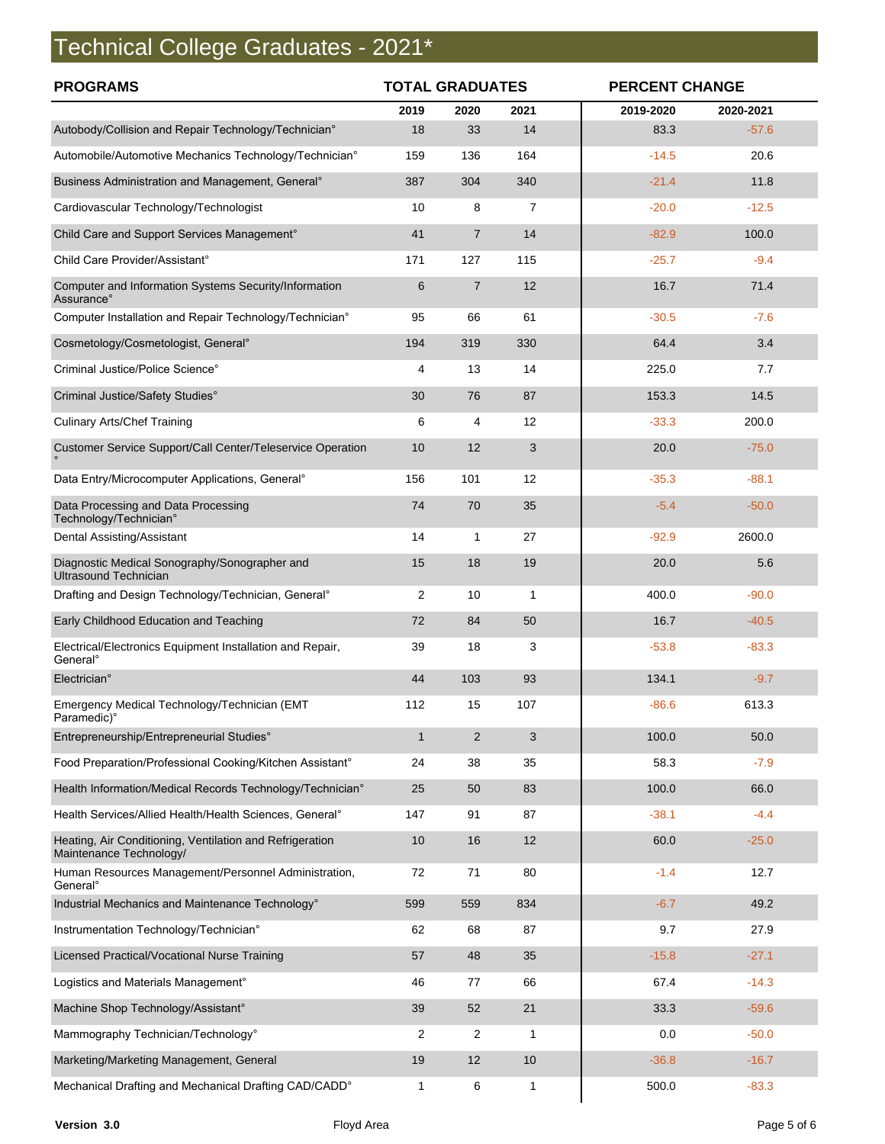# Technical College Graduates - 2021\*

| <b>PROGRAMS</b>                                                                     | <b>TOTAL GRADUATES</b> |                |              |           | <b>PERCENT CHANGE</b> |  |  |
|-------------------------------------------------------------------------------------|------------------------|----------------|--------------|-----------|-----------------------|--|--|
|                                                                                     | 2019                   | 2020           | 2021         | 2019-2020 | 2020-2021             |  |  |
| Autobody/Collision and Repair Technology/Technician°                                | 18                     | 33             | 14           | 83.3      | $-57.6$               |  |  |
| Automobile/Automotive Mechanics Technology/Technician°                              | 159                    | 136            | 164          | $-14.5$   | 20.6                  |  |  |
| Business Administration and Management, General <sup>®</sup>                        | 387                    | 304            | 340          | $-21.4$   | 11.8                  |  |  |
| Cardiovascular Technology/Technologist                                              | 10                     | 8              | 7            | $-20.0$   | $-12.5$               |  |  |
| Child Care and Support Services Management°                                         | 41                     | $\overline{7}$ | 14           | $-82.9$   | 100.0                 |  |  |
| Child Care Provider/Assistant°                                                      | 171                    | 127            | 115          | $-25.7$   | $-9.4$                |  |  |
| Computer and Information Systems Security/Information<br>Assurance°                 | 6                      | $\overline{7}$ | 12           | 16.7      | 71.4                  |  |  |
| Computer Installation and Repair Technology/Technician°                             | 95                     | 66             | 61           | $-30.5$   | $-7.6$                |  |  |
| Cosmetology/Cosmetologist, General <sup>o</sup>                                     | 194                    | 319            | 330          | 64.4      | 3.4                   |  |  |
| Criminal Justice/Police Science°                                                    | 4                      | 13             | 14           | 225.0     | 7.7                   |  |  |
| Criminal Justice/Safety Studies°                                                    | 30                     | 76             | 87           | 153.3     | 14.5                  |  |  |
| <b>Culinary Arts/Chef Training</b>                                                  | 6                      | 4              | 12           | $-33.3$   | 200.0                 |  |  |
| Customer Service Support/Call Center/Teleservice Operation                          | 10                     | 12             | 3            | 20.0      | $-75.0$               |  |  |
| Data Entry/Microcomputer Applications, General <sup>o</sup>                         | 156                    | 101            | 12           | $-35.3$   | $-88.1$               |  |  |
| Data Processing and Data Processing<br>Technology/Technician°                       | 74                     | 70             | 35           | $-5.4$    | $-50.0$               |  |  |
| Dental Assisting/Assistant                                                          | 14                     | $\mathbf{1}$   | 27           | $-92.9$   | 2600.0                |  |  |
| Diagnostic Medical Sonography/Sonographer and<br><b>Ultrasound Technician</b>       | 15                     | 18             | 19           | 20.0      | 5.6                   |  |  |
| Drafting and Design Technology/Technician, General°                                 | $\overline{2}$         | 10             | $\mathbf{1}$ | 400.0     | $-90.0$               |  |  |
| Early Childhood Education and Teaching                                              | 72                     | 84             | 50           | 16.7      | $-40.5$               |  |  |
| Electrical/Electronics Equipment Installation and Repair,<br>General <sup>°</sup>   | 39                     | 18             | 3            | $-53.8$   | $-83.3$               |  |  |
| Electrician°                                                                        | 44                     | 103            | 93           | 134.1     | $-9.7$                |  |  |
| Emergency Medical Technology/Technician (EMT<br>Paramedic)°                         | 112                    | 15             | 107          | $-86.6$   | 613.3                 |  |  |
| Entrepreneurship/Entrepreneurial Studies°                                           | $\mathbf{1}$           | 2              | 3            | 100.0     | 50.0                  |  |  |
| Food Preparation/Professional Cooking/Kitchen Assistant°                            | 24                     | 38             | 35           | 58.3      | $-7.9$                |  |  |
| Health Information/Medical Records Technology/Technician°                           | 25                     | 50             | 83           | 100.0     | 66.0                  |  |  |
| Health Services/Allied Health/Health Sciences, General®                             | 147                    | 91             | 87           | $-38.1$   | $-4.4$                |  |  |
| Heating, Air Conditioning, Ventilation and Refrigeration<br>Maintenance Technology/ | 10                     | 16             | 12           | 60.0      | $-25.0$               |  |  |
| Human Resources Management/Personnel Administration,<br>General <sup>o</sup>        | 72                     | 71             | 80           | $-1.4$    | 12.7                  |  |  |
| Industrial Mechanics and Maintenance Technology°                                    | 599                    | 559            | 834          | $-6.7$    | 49.2                  |  |  |
| Instrumentation Technology/Technician°                                              | 62                     | 68             | 87           | 9.7       | 27.9                  |  |  |
| Licensed Practical/Vocational Nurse Training                                        | 57                     | 48             | 35           | $-15.8$   | $-27.1$               |  |  |
| Logistics and Materials Management°                                                 | 46                     | 77             | 66           | 67.4      | $-14.3$               |  |  |
| Machine Shop Technology/Assistant°                                                  | 39                     | 52             | 21           | 33.3      | $-59.6$               |  |  |
| Mammography Technician/Technology°                                                  | 2                      | 2              | 1            | 0.0       | $-50.0$               |  |  |
| Marketing/Marketing Management, General                                             | 19                     | 12             | 10           | $-36.8$   | $-16.7$               |  |  |
| Mechanical Drafting and Mechanical Drafting CAD/CADD°                               | 1                      | 6              | $\mathbf{1}$ | 500.0     | $-83.3$               |  |  |